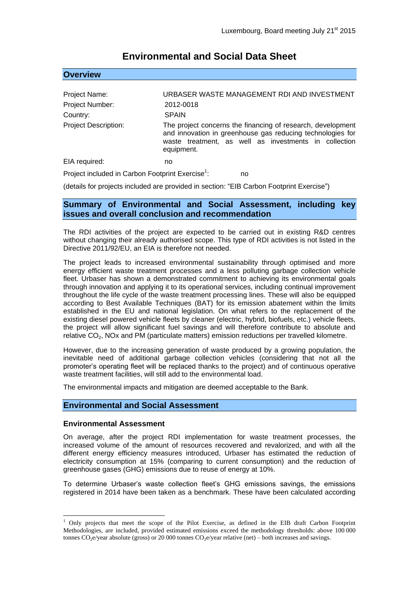| <b>OVERVIEW</b>                                              |                                                                                                                                                                                                  |
|--------------------------------------------------------------|--------------------------------------------------------------------------------------------------------------------------------------------------------------------------------------------------|
|                                                              |                                                                                                                                                                                                  |
| Project Name:                                                | URBASER WASTE MANAGEMENT RDI AND INVESTMENT                                                                                                                                                      |
| Project Number:                                              | 2012-0018                                                                                                                                                                                        |
| Country:                                                     | <b>SPAIN</b>                                                                                                                                                                                     |
| <b>Project Description:</b>                                  | The project concerns the financing of research, development<br>and innovation in greenhouse gas reducing technologies for<br>waste treatment, as well as investments in collection<br>equipment. |
| EIA required:                                                | no                                                                                                                                                                                               |
| Project included in Carbon Footprint Exercise <sup>1</sup> : | no                                                                                                                                                                                               |
|                                                              | (details for projects included are provided in section: "EIB Carbon Footprint Exercise")                                                                                                         |

## **Environmental and Social Data Sheet**

**Summary of Environmental and Social Assessment, including key issues and overall conclusion and recommendation**

The RDI activities of the project are expected to be carried out in existing R&D centres without changing their already authorised scope. This type of RDI activities is not listed in the Directive 2011/92/EU, an EIA is therefore not needed.

The project leads to increased environmental sustainability through optimised and more energy efficient waste treatment processes and a less polluting garbage collection vehicle fleet. Urbaser has shown a demonstrated commitment to achieving its environmental goals through innovation and applying it to its operational services, including continual improvement throughout the life cycle of the waste treatment processing lines. These will also be equipped according to Best Available Techniques (BAT) for its emission abatement within the limits established in the EU and national legislation. On what refers to the replacement of the existing diesel powered vehicle fleets by cleaner (electric, hybrid, biofuels, etc.) vehicle fleets, the project will allow significant fuel savings and will therefore contribute to absolute and relative CO2, NOx and PM (particulate matters) emission reductions per travelled kilometre.

However, due to the increasing generation of waste produced by a growing population, the inevitable need of additional garbage collection vehicles (considering that not all the promoter's operating fleet will be replaced thanks to the project) and of continuous operative waste treatment facilities, will still add to the environmental load.

The environmental impacts and mitigation are deemed acceptable to the Bank.

## **Environmental and Social Assessment**

## **Environmental Assessment**

<u>.</u>

**Covered Association** 

On average, after the project RDI implementation for waste treatment processes, the increased volume of the amount of resources recovered and revalorized, and with all the different energy efficiency measures introduced, Urbaser has estimated the reduction of electricity consumption at 15% (comparing to current consumption) and the reduction of greenhouse gases (GHG) emissions due to reuse of energy at 10%.

To determine Urbaser's waste collection fleet's GHG emissions savings, the emissions registered in 2014 have been taken as a benchmark. These have been calculated according

 $1$  Only projects that meet the scope of the Pilot Exercise, as defined in the EIB draft Carbon Footprint Methodologies, are included, provided estimated emissions exceed the methodology thresholds: above 100 000 tonnes CO2e/year absolute (gross) or 20 000 tonnes CO2e/year relative (net) – both increases and savings.